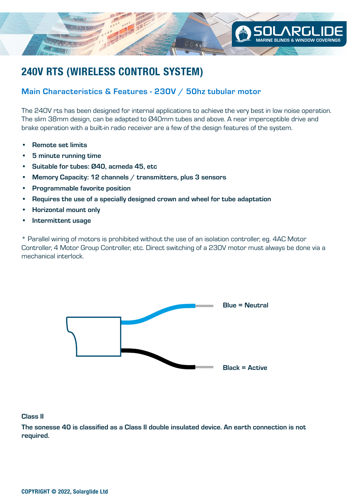

## **240V RTS (WIRELESS CONTROL SYSTEM)**

## Main Characteristics & Features - 230V / 50hz tubular motor

The 240V rts has been designed for internal applications to achieve the very best in low noise operation. The slim 38mm design, can be adapted to Ø40mm tubes and above. A near imperceptible drive and brake operation with a built-in radio receiver are a few of the design features of the system.

- Remote set limits
- 5 minute running time
- Suitable for tubes: Ø40, acmeda 45, etc
- Memory Capacity: 12 channels / transmitters, plus 3 sensors
- Programmable favorite position
- Requires the use of a specially designed crown and wheel for tube adaptation
- Horizontal mount only
- Intermittent usage

\* Parallel wiring of motors is prohibited without the use of an isolation controller, eg. 4AC Motor Controller, 4 Motor Group Controller, etc. Direct switching of a 230V motor must always be done via a mechanical interlock.



## Class II

The sonesse 40 is classified as a Class II double insulated device. An earth connection is not required.